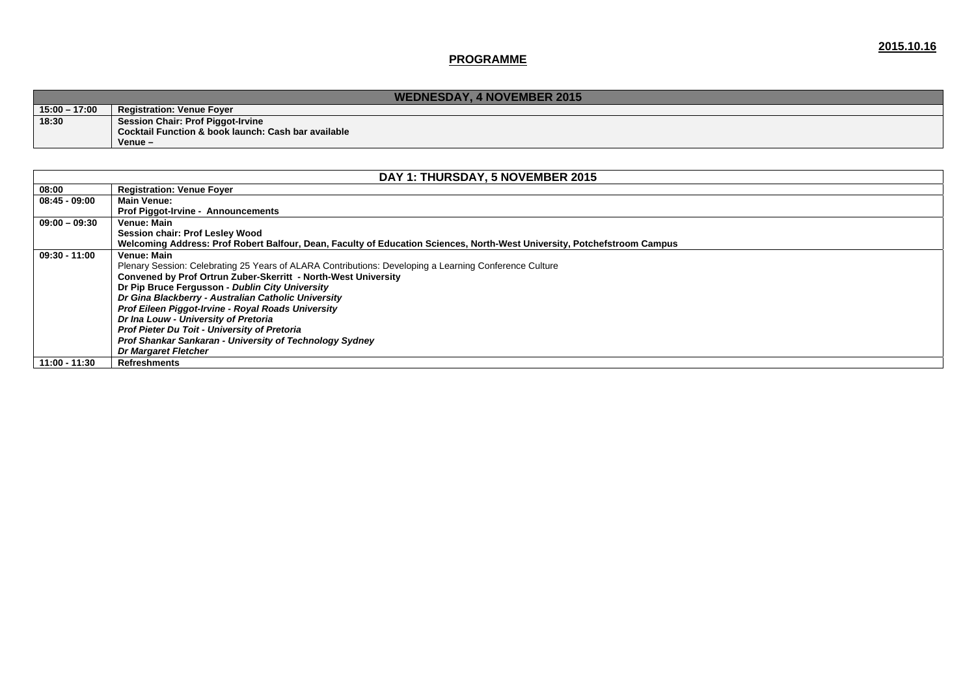|                 | <b>WEDNESDAY, 4 NOVEMBER 2015</b>                   |  |  |  |  |
|-----------------|-----------------------------------------------------|--|--|--|--|
| $15:00 - 17:00$ | <b>Registration: Venue Fover</b>                    |  |  |  |  |
| 18:30           | <b>Session Chair: Prof Piggot-Irvine</b>            |  |  |  |  |
|                 | Cocktail Function & book launch: Cash bar available |  |  |  |  |
|                 | $V$ enue $-$                                        |  |  |  |  |

| DAY 1: THURSDAY, 5 NOVEMBER 2015 |                                                                                                                          |  |  |
|----------------------------------|--------------------------------------------------------------------------------------------------------------------------|--|--|
| 08:00                            | <b>Registration: Venue Foyer</b>                                                                                         |  |  |
| $08:45 - 09:00$                  | <b>Main Venue:</b>                                                                                                       |  |  |
|                                  | <b>Prof Piggot-Irvine - Announcements</b>                                                                                |  |  |
| $09:00 - 09:30$                  | Venue: Main                                                                                                              |  |  |
|                                  | Session chair: Prof Lesley Wood                                                                                          |  |  |
|                                  | Welcoming Address: Prof Robert Balfour, Dean, Faculty of Education Sciences, North-West University, Potchefstroom Campus |  |  |
| $09:30 - 11:00$                  | Venue: Main                                                                                                              |  |  |
|                                  | Plenary Session: Celebrating 25 Years of ALARA Contributions: Developing a Learning Conference Culture                   |  |  |
|                                  | Convened by Prof Ortrun Zuber-Skerritt - North-West University                                                           |  |  |
|                                  | Dr Pip Bruce Fergusson - Dublin City University                                                                          |  |  |
|                                  | Dr Gina Blackberry - Australian Catholic University                                                                      |  |  |
|                                  | Prof Eileen Piggot-Irvine - Royal Roads University                                                                       |  |  |
|                                  | Dr Ina Louw - University of Pretoria                                                                                     |  |  |
|                                  | Prof Pieter Du Toit - University of Pretoria                                                                             |  |  |
|                                  | Prof Shankar Sankaran - University of Technology Sydney                                                                  |  |  |
|                                  | <b>Dr Margaret Fletcher</b>                                                                                              |  |  |
| 11:00 - 11:30                    | <b>Refreshments</b>                                                                                                      |  |  |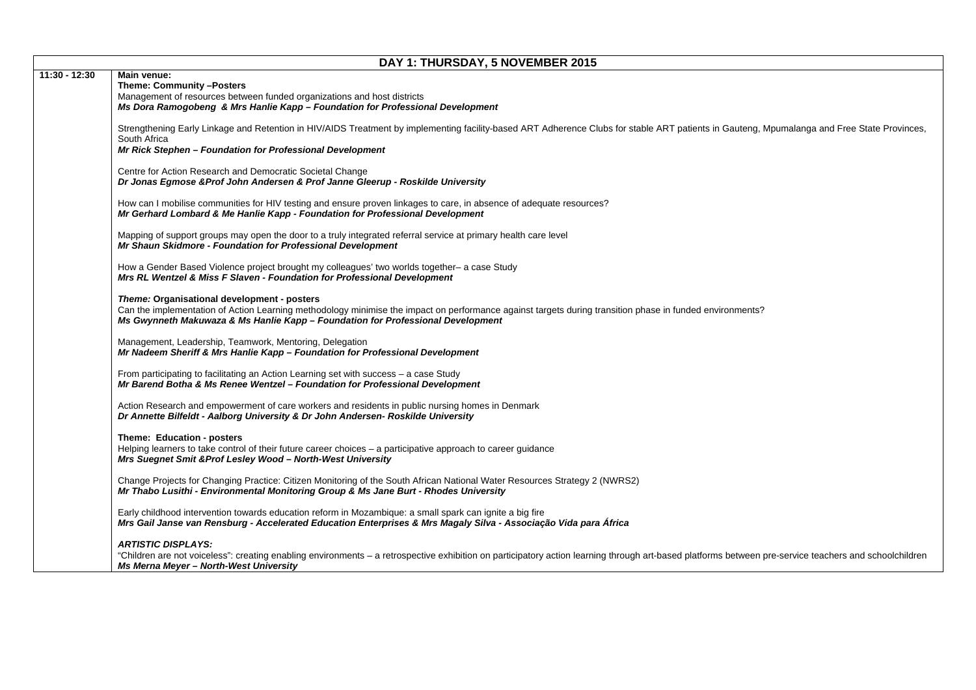|               | DAY 1: THURSDAY, 5 NOVEMBER 2015                                                                                                                                                                                                                                                           |  |  |  |  |
|---------------|--------------------------------------------------------------------------------------------------------------------------------------------------------------------------------------------------------------------------------------------------------------------------------------------|--|--|--|--|
| 11:30 - 12:30 | Main venue:<br>Theme: Community -Posters<br>Management of resources between funded organizations and host districts<br>Ms Dora Ramogobeng & Mrs Hanlie Kapp - Foundation for Professional Development                                                                                      |  |  |  |  |
|               | Strengthening Early Linkage and Retention in HIV/AIDS Treatment by implementing facility-based ART Adherence Clubs for stable ART patients in Gauteng, Mpumalanga and Free State Provinces,<br>South Africa<br>Mr Rick Stephen - Foundation for Professional Development                   |  |  |  |  |
|               | Centre for Action Research and Democratic Societal Change<br>Dr Jonas Egmose & Prof John Andersen & Prof Janne Gleerup - Roskilde University                                                                                                                                               |  |  |  |  |
|               | How can I mobilise communities for HIV testing and ensure proven linkages to care, in absence of adequate resources?<br>Mr Gerhard Lombard & Me Hanlie Kapp - Foundation for Professional Development                                                                                      |  |  |  |  |
|               | Mapping of support groups may open the door to a truly integrated referral service at primary health care level<br>Mr Shaun Skidmore - Foundation for Professional Development                                                                                                             |  |  |  |  |
|               | How a Gender Based Violence project brought my colleagues' two worlds together- a case Study<br>Mrs RL Wentzel & Miss F Slaven - Foundation for Professional Development                                                                                                                   |  |  |  |  |
|               | Theme: Organisational development - posters<br>Can the implementation of Action Learning methodology minimise the impact on performance against targets during transition phase in funded environments?<br>Ms Gwynneth Makuwaza & Ms Hanlie Kapp - Foundation for Professional Development |  |  |  |  |
|               | Management, Leadership, Teamwork, Mentoring, Delegation<br>Mr Nadeem Sheriff & Mrs Hanlie Kapp - Foundation for Professional Development                                                                                                                                                   |  |  |  |  |
|               | From participating to facilitating an Action Learning set with success - a case Study<br>Mr Barend Botha & Ms Renee Wentzel - Foundation for Professional Development                                                                                                                      |  |  |  |  |
|               | Action Research and empowerment of care workers and residents in public nursing homes in Denmark<br>Dr Annette Bilfeldt - Aalborg University & Dr John Andersen- Roskilde University                                                                                                       |  |  |  |  |
|               | Theme: Education - posters<br>Helping learners to take control of their future career choices - a participative approach to career guidance<br>Mrs Suegnet Smit & Prof Lesley Wood - North-West University                                                                                 |  |  |  |  |
|               | Change Projects for Changing Practice: Citizen Monitoring of the South African National Water Resources Strategy 2 (NWRS2)<br>Mr Thabo Lusithi - Environmental Monitoring Group & Ms Jane Burt - Rhodes University                                                                         |  |  |  |  |
|               | Early childhood intervention towards education reform in Mozambique: a small spark can ignite a big fire<br>Mrs Gail Janse van Rensburg - Accelerated Education Enterprises & Mrs Magaly Silva - Associação Vida para África                                                               |  |  |  |  |
|               | ARTISTIC DISPLAYS:<br>"Children are not voiceless": creating enabling environments - a retrospective exhibition on participatory action learning through art-based platforms between pre-service teachers and schoolchildren<br><b>Ms Merna Meyer - North-West University</b>              |  |  |  |  |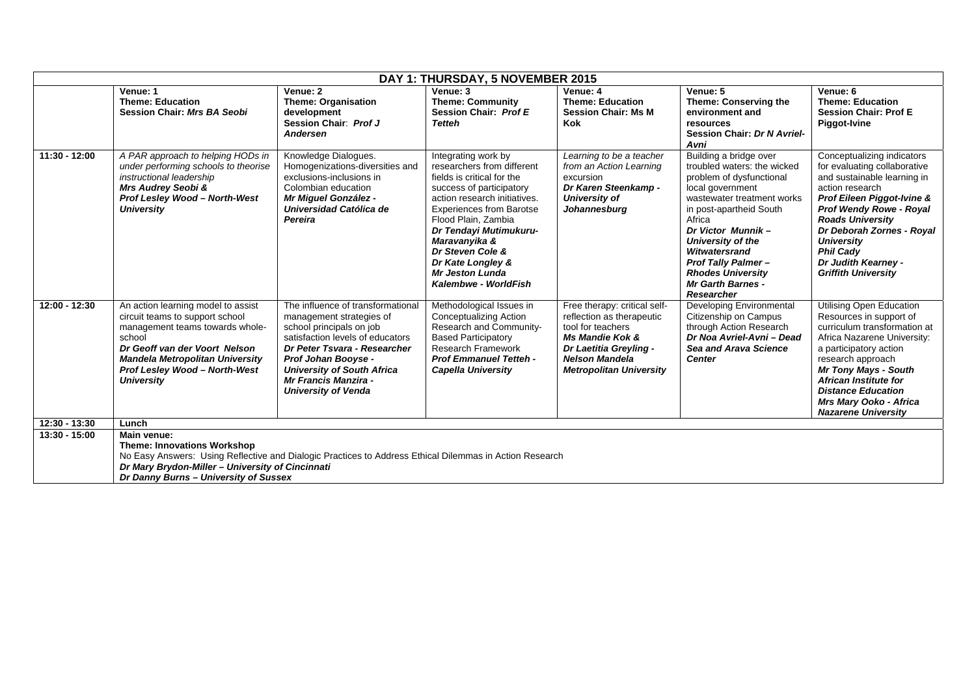| DAY 1: THURSDAY, 5 NOVEMBER 2015 |                                                                                                                                                                                                                                                           |                                                                                                                                                                                                                                                                                        |                                                                                                                                                                                                                                                                                                                                             |                                                                                                                                                                                                   |                                                                                                                                                                                                                                                                                                                                        |                                                                                                                                                                                                                                                                                                                                    |
|----------------------------------|-----------------------------------------------------------------------------------------------------------------------------------------------------------------------------------------------------------------------------------------------------------|----------------------------------------------------------------------------------------------------------------------------------------------------------------------------------------------------------------------------------------------------------------------------------------|---------------------------------------------------------------------------------------------------------------------------------------------------------------------------------------------------------------------------------------------------------------------------------------------------------------------------------------------|---------------------------------------------------------------------------------------------------------------------------------------------------------------------------------------------------|----------------------------------------------------------------------------------------------------------------------------------------------------------------------------------------------------------------------------------------------------------------------------------------------------------------------------------------|------------------------------------------------------------------------------------------------------------------------------------------------------------------------------------------------------------------------------------------------------------------------------------------------------------------------------------|
|                                  | Venue: 1<br><b>Theme: Education</b><br><b>Session Chair: Mrs BA Seobi</b>                                                                                                                                                                                 | Venue: 2<br><b>Theme: Organisation</b><br>development<br>Session Chair: Prof J<br><b>Andersen</b>                                                                                                                                                                                      | Venue: 3<br><b>Theme: Community</b><br>Session Chair: Prof E<br><b>Tetteh</b>                                                                                                                                                                                                                                                               | Venue: 4<br><b>Theme: Education</b><br><b>Session Chair: Ms M</b><br><b>Kok</b>                                                                                                                   | Venue: 5<br>Theme: Conserving the<br>environment and<br>resources<br>Session Chair: Dr N Avriel-<br>Avni                                                                                                                                                                                                                               | Venue: 6<br><b>Theme: Education</b><br><b>Session Chair: Prof E</b><br>Piggot-Ivine                                                                                                                                                                                                                                                |
| $11:30 - 12:00$                  | A PAR approach to helping HODs in<br>under performing schools to theorise<br>instructional leadership<br>Mrs Audrey Seobi &<br><b>Prof Lesley Wood - North-West</b><br><b>University</b>                                                                  | Knowledge Dialogues.<br>Homogenizations-diversities and<br>exclusions-inclusions in<br>Colombian education<br>Mr Miguel González -<br>Universidad Católica de<br>Pereira                                                                                                               | Integrating work by<br>researchers from different<br>fields is critical for the<br>success of participatory<br>action research initiatives.<br><b>Experiences from Barotse</b><br>Flood Plain, Zambia<br>Dr Tendayi Mutimukuru-<br>Maravanyika &<br>Dr Steven Cole &<br>Dr Kate Longley &<br><b>Mr Jeston Lunda</b><br>Kalembwe - WorldFish | Learning to be a teacher<br>from an Action Learning<br>excursion<br>Dr Karen Steenkamp -<br>University of<br>Johannesburg                                                                         | Building a bridge over<br>troubled waters: the wicked<br>problem of dysfunctional<br>local government<br>wastewater treatment works<br>in post-apartheid South<br>Africa<br>Dr Victor Munnik-<br>University of the<br>Witwatersrand<br><b>Prof Tally Palmer-</b><br><b>Rhodes University</b><br><b>Mr Garth Barnes -</b><br>Researcher | Conceptualizing indicators<br>for evaluating collaborative<br>and sustainable learning in<br>action research<br>Prof Eileen Piggot-Ivine &<br><b>Prof Wendy Rowe - Royal</b><br><b>Roads University</b><br>Dr Deborah Zornes - Royal<br><b>University</b><br><b>Phil Cady</b><br>Dr Judith Kearney -<br><b>Griffith University</b> |
| 12:00 - 12:30                    | An action learning model to assist<br>circuit teams to support school<br>management teams towards whole-<br>school<br>Dr Geoff van der Voort Nelson<br><b>Mandela Metropolitan University</b><br>Prof Lesley Wood - North-West<br><b>University</b>       | The influence of transformational<br>management strategies of<br>school principals on job<br>satisfaction levels of educators<br>Dr Peter Tsvara - Researcher<br>Prof Johan Booyse -<br><b>University of South Africa</b><br><b>Mr Francis Manzira -</b><br><b>University of Venda</b> | Methodological Issues in<br><b>Conceptualizing Action</b><br>Research and Community-<br><b>Based Participatory</b><br><b>Research Framework</b><br><b>Prof Emmanuel Tetteh -</b><br><b>Capella University</b>                                                                                                                               | Free therapy: critical self-<br>reflection as therapeutic<br>tool for teachers<br><b>Ms Mandie Kok &amp;</b><br>Dr Laetitia Greyling -<br><b>Nelson Mandela</b><br><b>Metropolitan University</b> | Developing Environmental<br>Citizenship on Campus<br>through Action Research<br>Dr Noa Avriel-Avni - Dead<br>Sea and Arava Science<br><b>Center</b>                                                                                                                                                                                    | Utilising Open Education<br>Resources in support of<br>curriculum transformation at<br>Africa Nazarene University:<br>a participatory action<br>research approach<br><b>Mr Tony Mays - South</b><br><b>African Institute for</b><br><b>Distance Education</b><br>Mrs Mary Ooko - Africa<br><b>Nazarene University</b>              |
| $12:30 - 13:30$                  | Lunch                                                                                                                                                                                                                                                     |                                                                                                                                                                                                                                                                                        |                                                                                                                                                                                                                                                                                                                                             |                                                                                                                                                                                                   |                                                                                                                                                                                                                                                                                                                                        |                                                                                                                                                                                                                                                                                                                                    |
| $13:30 - 15:00$                  | Main venue:<br><b>Theme: Innovations Workshop</b><br>No Easy Answers: Using Reflective and Dialogic Practices to Address Ethical Dilemmas in Action Research<br>Dr Mary Brydon-Miller - University of Cincinnati<br>Dr Danny Burns - University of Sussex |                                                                                                                                                                                                                                                                                        |                                                                                                                                                                                                                                                                                                                                             |                                                                                                                                                                                                   |                                                                                                                                                                                                                                                                                                                                        |                                                                                                                                                                                                                                                                                                                                    |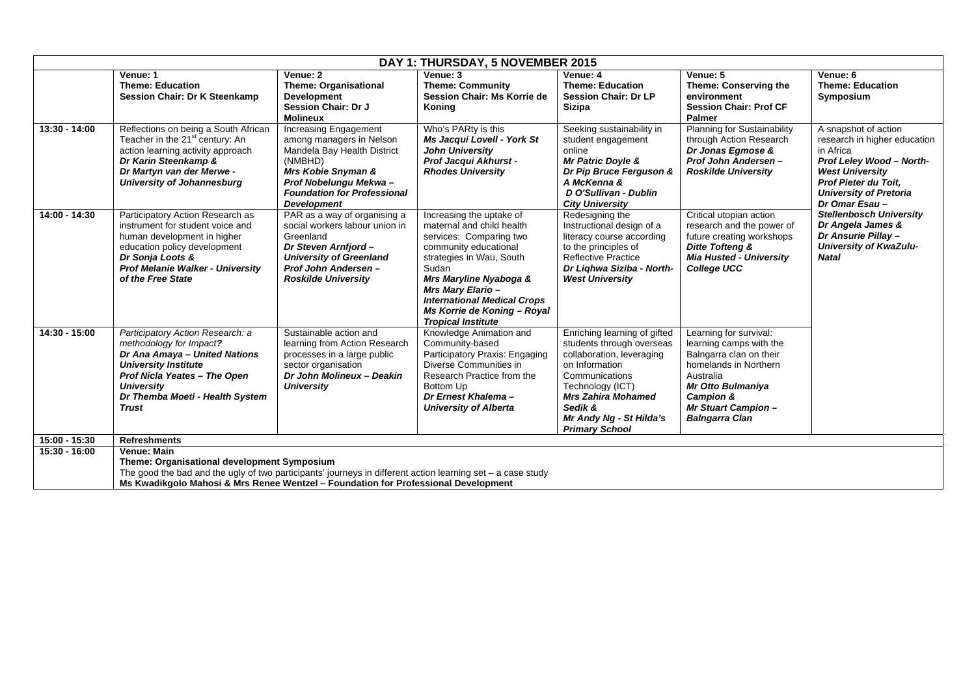| DAY 1: THURSDAY, 5 NOVEMBER 2015 |                                                                                                                                                                                                                                                                        |                                                                                                                                                                                                         |                                                                                                                                                                                                                                                                                                        |                                                                                                                                                                                                                                            |                                                                                                                                                                                                                               |                                                                                                                                                                                                    |
|----------------------------------|------------------------------------------------------------------------------------------------------------------------------------------------------------------------------------------------------------------------------------------------------------------------|---------------------------------------------------------------------------------------------------------------------------------------------------------------------------------------------------------|--------------------------------------------------------------------------------------------------------------------------------------------------------------------------------------------------------------------------------------------------------------------------------------------------------|--------------------------------------------------------------------------------------------------------------------------------------------------------------------------------------------------------------------------------------------|-------------------------------------------------------------------------------------------------------------------------------------------------------------------------------------------------------------------------------|----------------------------------------------------------------------------------------------------------------------------------------------------------------------------------------------------|
|                                  | Venue: 1<br><b>Theme: Education</b><br><b>Session Chair: Dr K Steenkamp</b>                                                                                                                                                                                            | Venue: 2<br><b>Theme: Organisational</b><br><b>Development</b><br>Session Chair: Dr J<br><b>Molineux</b>                                                                                                | Venue: 3<br><b>Theme: Community</b><br>Session Chair: Ms Korrie de<br>Koning                                                                                                                                                                                                                           | Venue: 4<br><b>Theme: Education</b><br><b>Session Chair: Dr LP</b><br><b>Sizipa</b>                                                                                                                                                        | Venue: 5<br><b>Theme: Conserving the</b><br>environment<br><b>Session Chair: Prof CF</b><br>Palmer                                                                                                                            | Venue: 6<br><b>Theme: Education</b><br>Symposium                                                                                                                                                   |
| 13:30 - 14:00                    | Reflections on being a South African<br>Teacher in the 21 <sup>st</sup> century: An<br>action learning activity approach<br>Dr Karin Steenkamp &<br>Dr Martyn van der Merwe -<br><b>University of Johannesburg</b>                                                     | Increasing Engagement<br>among managers in Nelson<br>Mandela Bay Health District<br>(NMBHD)<br>Mrs Kobie Snyman &<br>Prof Nobelungu Mekwa -<br><b>Foundation for Professional</b><br><b>Development</b> | Who's PARty is this<br>Ms Jacqui Lovell - York St<br><b>John University</b><br>Prof Jacqui Akhurst -<br><b>Rhodes University</b>                                                                                                                                                                       | Seeking sustainability in<br>student engagement<br>online<br><b>Mr Patric Doyle &amp;</b><br>Dr Pip Bruce Ferguson &<br>A McKenna &<br>D O'Sullivan - Dublin<br><b>City University</b>                                                     | <b>Planning for Sustainability</b><br>through Action Research<br>Dr Jonas Egmose &<br>Prof John Andersen-<br><b>Roskilde University</b>                                                                                       | A snapshot of action<br>research in higher education<br>in Africa<br>Prof Leley Wood - North-<br><b>West University</b><br>Prof Pieter du Toit,<br><b>University of Pretoria</b><br>Dr Omar Esau - |
| 14:00 - 14:30                    | Participatory Action Research as<br>instrument for student voice and<br>human development in higher<br>education policy development<br>Dr Sonja Loots &<br><b>Prof Melanie Walker - University</b><br>of the Free State                                                | PAR as a way of organising a<br>social workers labour union in<br>Greenland<br>Dr Steven Arnfjord -<br><b>University of Greenland</b><br><b>Prof John Andersen -</b><br><b>Roskilde University</b>      | Increasing the uptake of<br>maternal and child health<br>services: Comparing two<br>community educational<br>strategies in Wau, South<br>Sudan<br>Mrs Maryline Nyaboga &<br><b>Mrs Mary Elario -</b><br><b>International Medical Crops</b><br>Ms Korrie de Koning - Royal<br><b>Tropical Institute</b> | Redesigning the<br>Instructional design of a<br>literacy course according<br>to the principles of<br><b>Reflective Practice</b><br>Dr Lighwa Siziba - North-<br><b>West University</b>                                                     | Critical utopian action<br>research and the power of<br>future creating workshops<br><b>Ditte Tofteng &amp;</b><br><b>Mia Husted - University</b><br><b>College UCC</b>                                                       | <b>Stellenbosch University</b><br>Dr Angela James &<br>Dr Ansurie Pillay -<br>University of KwaZulu-<br><b>Natal</b>                                                                               |
| 14:30 - 15:00                    | Participatory Action Research: a<br>methodology for Impact?<br>Dr Ana Amaya - United Nations<br><b>University Institute</b><br>Prof Nicla Yeates - The Open<br><b>University</b><br>Dr Themba Moeti - Health System<br><b>Trust</b>                                    | Sustainable action and<br>learning from Action Research<br>processes in a large public<br>sector organisation<br>Dr John Molineux - Deakin<br><b>University</b>                                         | Knowledge Animation and<br>Community-based<br>Participatory Praxis: Engaging<br>Diverse Communities in<br>Research Practice from the<br>Bottom Up<br>Dr Ernest Khalema-<br><b>University of Alberta</b>                                                                                                | Enriching learning of gifted<br>students through overseas<br>collaboration, leveraging<br>on Information<br>Communications<br>Technology (ICT)<br><b>Mrs Zahira Mohamed</b><br>Sedik &<br>Mr Andy Ng - St Hilda's<br><b>Primary School</b> | Learning for survival:<br>learning camps with the<br>Balngarra clan on their<br>homelands in Northern<br>Australia<br><b>Mr Otto Bulmaniya</b><br><b>Campion &amp;</b><br><b>Mr Stuart Campion -</b><br><b>Balngarra Clan</b> |                                                                                                                                                                                                    |
| 15:00 - 15:30                    | <b>Refreshments</b>                                                                                                                                                                                                                                                    |                                                                                                                                                                                                         |                                                                                                                                                                                                                                                                                                        |                                                                                                                                                                                                                                            |                                                                                                                                                                                                                               |                                                                                                                                                                                                    |
| 15:30 - 16:00                    | <b>Venue: Main</b><br>Theme: Organisational development Symposium<br>The good the bad and the ugly of two participants' journeys in different action learning set - a case study<br>Ms Kwadikgolo Mahosi & Mrs Renee Wentzel - Foundation for Professional Development |                                                                                                                                                                                                         |                                                                                                                                                                                                                                                                                                        |                                                                                                                                                                                                                                            |                                                                                                                                                                                                                               |                                                                                                                                                                                                    |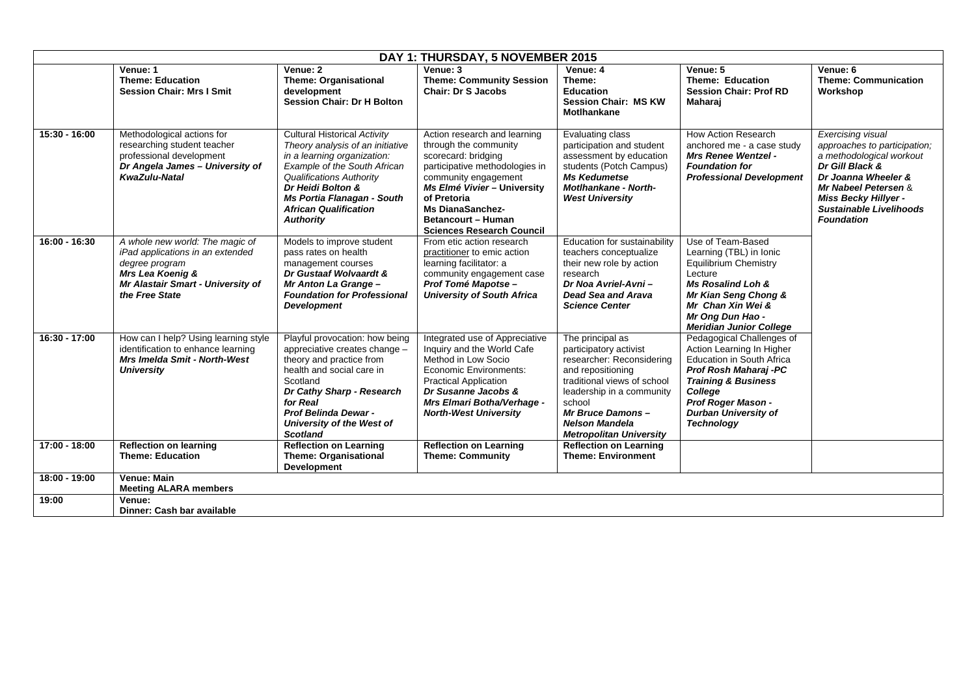| DAY 1: THURSDAY, 5 NOVEMBER 2015 |                                                                                                                                                                  |                                                                                                                                                                                                                                                                           |                                                                                                                                                                                                                                                                           |                                                                                                                                                                                                                                                   |                                                                                                                                                                                                                                            |                                                                                                                                                                                                                         |
|----------------------------------|------------------------------------------------------------------------------------------------------------------------------------------------------------------|---------------------------------------------------------------------------------------------------------------------------------------------------------------------------------------------------------------------------------------------------------------------------|---------------------------------------------------------------------------------------------------------------------------------------------------------------------------------------------------------------------------------------------------------------------------|---------------------------------------------------------------------------------------------------------------------------------------------------------------------------------------------------------------------------------------------------|--------------------------------------------------------------------------------------------------------------------------------------------------------------------------------------------------------------------------------------------|-------------------------------------------------------------------------------------------------------------------------------------------------------------------------------------------------------------------------|
|                                  | Venue: 1<br><b>Theme: Education</b><br><b>Session Chair: Mrs I Smit</b>                                                                                          | Venue: 2<br><b>Theme: Organisational</b><br>development<br><b>Session Chair: Dr H Bolton</b>                                                                                                                                                                              | Venue: 3<br><b>Theme: Community Session</b><br><b>Chair: Dr S Jacobs</b>                                                                                                                                                                                                  | Venue: 4<br>Theme:<br><b>Education</b><br><b>Session Chair: MS KW</b><br><b>Motlhankane</b>                                                                                                                                                       | Venue: 5<br><b>Theme: Education</b><br><b>Session Chair: Prof RD</b><br>Maharaj                                                                                                                                                            | Venue: 6<br><b>Theme: Communication</b><br>Workshop                                                                                                                                                                     |
| $15:30 - 16:00$                  | Methodological actions for<br>researching student teacher<br>professional development<br>Dr Angela James - University of<br><b>KwaZulu-Natal</b>                 | Cultural Historical Activity<br>Theory analysis of an initiative<br>in a learning organization:<br>Example of the South African<br><b>Qualifications Authority</b><br>Dr Heidi Bolton &<br>Ms Portia Flanagan - South<br><b>African Qualification</b><br><b>Authority</b> | Action research and learning<br>through the community<br>scorecard: bridging<br>participative methodologies in<br>community engagement<br>Ms Elmé Vivier - University<br>of Pretoria<br>Ms DianaSanchez-<br><b>Betancourt - Human</b><br><b>Sciences Research Council</b> | Evaluating class<br>participation and student<br>assessment by education<br>students (Potch Campus)<br><b>Ms Kedumetse</b><br><b>Motlhankane - North-</b><br><b>West University</b>                                                               | How Action Research<br>anchored me - a case study<br><b>Mrs Renee Wentzel -</b><br><b>Foundation for</b><br><b>Professional Development</b>                                                                                                | Exercising visual<br>approaches to participation;<br>a methodological workout<br>Dr Gill Black &<br>Dr Joanna Wheeler &<br>Mr Nabeel Petersen &<br>Miss Becky Hillyer -<br>Sustainable Livelihoods<br><b>Foundation</b> |
| 16:00 - 16:30                    | A whole new world: The magic of<br>iPad applications in an extended<br>degree program<br>Mrs Lea Koenig &<br>Mr Alastair Smart - University of<br>the Free State | Models to improve student<br>pass rates on health<br>management courses<br>Dr Gustaaf Wolvaardt &<br>Mr Anton La Grange -<br><b>Foundation for Professional</b><br><b>Development</b>                                                                                     | From etic action research<br>practitioner to emic action<br>learning facilitator: a<br>community engagement case<br>Prof Tomé Mapotse -<br><b>University of South Africa</b>                                                                                              | Education for sustainability<br>teachers conceptualize<br>their new role by action<br>research<br>Dr Noa Avriel-Avni-<br>Dead Sea and Arava<br><b>Science Center</b>                                                                              | Use of Team-Based<br>Learning (TBL) in Ionic<br><b>Equilibrium Chemistry</b><br>Lecture<br><b>Ms Rosalind Loh &amp;</b><br>Mr Kian Seng Chong &<br>Mr Chan Xin Wei &<br>Mr Ong Dun Hao -<br><b>Meridian Junior College</b>                 |                                                                                                                                                                                                                         |
| 16:30 - 17:00                    | How can I help? Using learning style<br>identification to enhance learning<br><b>Mrs Imelda Smit - North-West</b><br><b>University</b>                           | Playful provocation: how being<br>appreciative creates change -<br>theory and practice from<br>health and social care in<br>Scotland<br>Dr Cathy Sharp - Research<br>for Real<br><b>Prof Belinda Dewar -</b><br>University of the West of<br><b>Scotland</b>              | Integrated use of Appreciative<br>Inquiry and the World Cafe<br>Method in Low Socio<br><b>Economic Environments:</b><br><b>Practical Application</b><br>Dr Susanne Jacobs &<br>Mrs Elmari Botha/Verhage -<br><b>North-West University</b>                                 | The principal as<br>participatory activist<br>researcher: Reconsidering<br>and repositioning<br>traditional views of school<br>leadership in a community<br>school<br>Mr Bruce Damons-<br><b>Nelson Mandela</b><br><b>Metropolitan University</b> | Pedagogical Challenges of<br>Action Learning In Higher<br><b>Education in South Africa</b><br>Prof Rosh Maharaj -PC<br><b>Training &amp; Business</b><br>College<br>Prof Roger Mason -<br><b>Durban University of</b><br><b>Technology</b> |                                                                                                                                                                                                                         |
| 17:00 - 18:00                    | <b>Reflection on learning</b><br><b>Theme: Education</b>                                                                                                         | <b>Reflection on Learning</b><br><b>Theme: Organisational</b><br><b>Development</b>                                                                                                                                                                                       | <b>Reflection on Learning</b><br><b>Theme: Community</b>                                                                                                                                                                                                                  | <b>Reflection on Learning</b><br><b>Theme: Environment</b>                                                                                                                                                                                        |                                                                                                                                                                                                                                            |                                                                                                                                                                                                                         |
| 18:00 - 19:00                    | <b>Venue: Main</b>                                                                                                                                               |                                                                                                                                                                                                                                                                           |                                                                                                                                                                                                                                                                           |                                                                                                                                                                                                                                                   |                                                                                                                                                                                                                                            |                                                                                                                                                                                                                         |
|                                  | <b>Meeting ALARA members</b>                                                                                                                                     |                                                                                                                                                                                                                                                                           |                                                                                                                                                                                                                                                                           |                                                                                                                                                                                                                                                   |                                                                                                                                                                                                                                            |                                                                                                                                                                                                                         |
| 19:00                            | Venue:<br>Dinner: Cash bar available                                                                                                                             |                                                                                                                                                                                                                                                                           |                                                                                                                                                                                                                                                                           |                                                                                                                                                                                                                                                   |                                                                                                                                                                                                                                            |                                                                                                                                                                                                                         |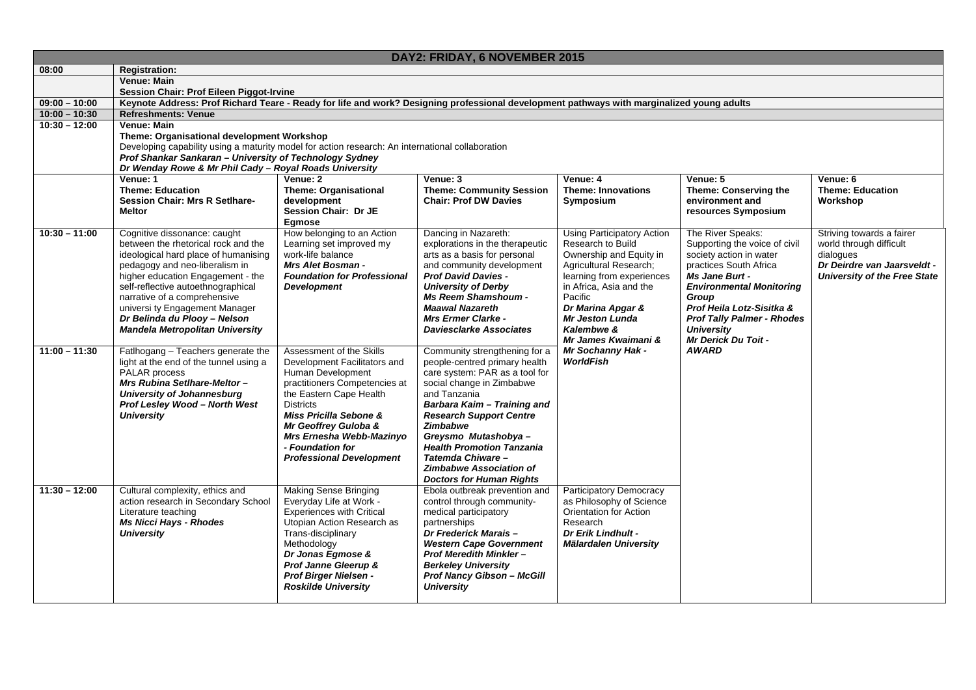|                 | DAY2: FRIDAY, 6 NOVEMBER 2015                                                                                                             |                                                          |                                                         |                                                     |                                          |                                                                    |
|-----------------|-------------------------------------------------------------------------------------------------------------------------------------------|----------------------------------------------------------|---------------------------------------------------------|-----------------------------------------------------|------------------------------------------|--------------------------------------------------------------------|
| 08:00           | <b>Registration:</b>                                                                                                                      |                                                          |                                                         |                                                     |                                          |                                                                    |
|                 | Venue: Main                                                                                                                               |                                                          |                                                         |                                                     |                                          |                                                                    |
|                 | <b>Session Chair: Prof Eileen Piggot-Irvine</b>                                                                                           |                                                          |                                                         |                                                     |                                          |                                                                    |
| $09:00 - 10:00$ | Keynote Address: Prof Richard Teare - Ready for life and work? Designing professional development pathways with marginalized young adults |                                                          |                                                         |                                                     |                                          |                                                                    |
| $10:00 - 10:30$ | <b>Refreshments: Venue</b>                                                                                                                |                                                          |                                                         |                                                     |                                          |                                                                    |
| $10:30 - 12:00$ | Venue: Main                                                                                                                               |                                                          |                                                         |                                                     |                                          |                                                                    |
|                 | Theme: Organisational development Workshop                                                                                                |                                                          |                                                         |                                                     |                                          |                                                                    |
|                 | Developing capability using a maturity model for action research: An international collaboration                                          |                                                          |                                                         |                                                     |                                          |                                                                    |
|                 | Prof Shankar Sankaran - University of Technology Sydney<br>Dr Wenday Rowe & Mr Phil Cady - Royal Roads University                         |                                                          |                                                         |                                                     |                                          |                                                                    |
|                 | Venue: 1                                                                                                                                  | Venue: 2                                                 | Venue: 3                                                | Venue: 4                                            | Venue: 5                                 | Venue: 6                                                           |
|                 | <b>Theme: Education</b>                                                                                                                   | <b>Theme: Organisational</b>                             | <b>Theme: Community Session</b>                         | <b>Theme: Innovations</b>                           | Theme: Conserving the                    | <b>Theme: Education</b>                                            |
|                 | <b>Session Chair: Mrs R SetIhare-</b>                                                                                                     | development                                              | <b>Chair: Prof DW Davies</b>                            | Symposium                                           | environment and                          | Workshop                                                           |
|                 | <b>Meltor</b>                                                                                                                             | Session Chair: Dr JE                                     |                                                         |                                                     | resources Symposium                      |                                                                    |
|                 |                                                                                                                                           | Egmose                                                   |                                                         |                                                     |                                          |                                                                    |
| $10:30 - 11:00$ | Cognitive dissonance: caught                                                                                                              | How belonging to an Action                               | Dancing in Nazareth:                                    | <b>Using Participatory Action</b>                   | The River Speaks:                        | Striving towards a fairer                                          |
|                 | between the rhetorical rock and the                                                                                                       | Learning set improved my                                 | explorations in the therapeutic                         | Research to Build                                   | Supporting the voice of civil            | world through difficult                                            |
|                 | ideological hard place of humanising                                                                                                      | work-life balance                                        | arts as a basis for personal                            | Ownership and Equity in                             | society action in water                  | dialogues                                                          |
|                 | pedagogy and neo-liberalism in                                                                                                            | Mrs Alet Bosman -                                        | and community development<br><b>Prof David Davies -</b> | Agricultural Research;<br>learning from experiences | practices South Africa<br>Ms Jane Burt - | Dr Deirdre van Jaarsveldt -<br><b>University of the Free State</b> |
|                 | higher education Engagement - the<br>self-reflective autoethnographical                                                                   | <b>Foundation for Professional</b><br><b>Development</b> | <b>University of Derby</b>                              | in Africa, Asia and the                             | <b>Environmental Monitoring</b>          |                                                                    |
|                 | narrative of a comprehensive                                                                                                              |                                                          | <b>Ms Reem Shamshoum -</b>                              | Pacific                                             | Group                                    |                                                                    |
|                 | universi ty Engagement Manager                                                                                                            |                                                          | <b>Maawal Nazareth</b>                                  | Dr Marina Apgar &                                   | Prof Heila Lotz-Sisitka &                |                                                                    |
|                 | Dr Belinda du Plooy - Nelson                                                                                                              |                                                          | <b>Mrs Ermer Clarke -</b>                               | <b>Mr Jeston Lunda</b>                              | <b>Prof Tally Palmer - Rhodes</b>        |                                                                    |
|                 | <b>Mandela Metropolitan University</b>                                                                                                    |                                                          | <b>Daviesclarke Associates</b>                          | Kalembwe &                                          | <b>University</b>                        |                                                                    |
|                 |                                                                                                                                           |                                                          |                                                         | Mr James Kwaimani &                                 | <b>Mr Derick Du Toit -</b>               |                                                                    |
| $11:00 - 11:30$ | Fatlhogang - Teachers generate the                                                                                                        | Assessment of the Skills                                 | Community strengthening for a                           | <b>Mr Sochanny Hak -</b>                            | <b>AWARD</b>                             |                                                                    |
|                 | light at the end of the tunnel using a                                                                                                    | Development Facilitators and                             | people-centred primary health                           | <b>WorldFish</b>                                    |                                          |                                                                    |
|                 | PALAR process                                                                                                                             | Human Development                                        | care system: PAR as a tool for                          |                                                     |                                          |                                                                    |
|                 | Mrs Rubina Setlhare-Meltor-                                                                                                               | practitioners Competencies at                            | social change in Zimbabwe                               |                                                     |                                          |                                                                    |
|                 | <b>University of Johannesburg</b><br>Prof Lesley Wood - North West                                                                        | the Eastern Cape Health<br><b>Districts</b>              | and Tanzania<br>Barbara Kaim - Training and             |                                                     |                                          |                                                                    |
|                 | <b>University</b>                                                                                                                         | Miss Pricilla Sebone &                                   | <b>Research Support Centre</b>                          |                                                     |                                          |                                                                    |
|                 |                                                                                                                                           | Mr Geoffrey Guloba &                                     | <b>Zimbabwe</b>                                         |                                                     |                                          |                                                                    |
|                 |                                                                                                                                           | Mrs Ernesha Webb-Mazinyo                                 | Greysmo Mutashobya-                                     |                                                     |                                          |                                                                    |
|                 |                                                                                                                                           | - Foundation for                                         | <b>Health Promotion Tanzania</b>                        |                                                     |                                          |                                                                    |
|                 |                                                                                                                                           | <b>Professional Development</b>                          | Tatemda Chiware-                                        |                                                     |                                          |                                                                    |
|                 |                                                                                                                                           |                                                          | <b>Zimbabwe Association of</b>                          |                                                     |                                          |                                                                    |
|                 |                                                                                                                                           |                                                          | <b>Doctors for Human Rights</b>                         |                                                     |                                          |                                                                    |
| $11:30 - 12:00$ | Cultural complexity, ethics and                                                                                                           | <b>Making Sense Bringing</b>                             | Ebola outbreak prevention and                           | <b>Participatory Democracy</b>                      |                                          |                                                                    |
|                 | action research in Secondary School                                                                                                       | Everyday Life at Work -                                  | control through community-                              | as Philosophy of Science                            |                                          |                                                                    |
|                 | Literature teaching                                                                                                                       | <b>Experiences with Critical</b>                         | medical participatory                                   | <b>Orientation for Action</b>                       |                                          |                                                                    |
|                 | <b>Ms Nicci Hays - Rhodes</b><br><b>University</b>                                                                                        | Utopian Action Research as                               | partnerships<br>Dr Frederick Marais-                    | Research<br><b>Dr Erik Lindhult -</b>               |                                          |                                                                    |
|                 |                                                                                                                                           | Trans-disciplinary<br>Methodology                        | <b>Western Cape Government</b>                          | Mälardalen University                               |                                          |                                                                    |
|                 |                                                                                                                                           | Dr Jonas Egmose &                                        | <b>Prof Meredith Minkler-</b>                           |                                                     |                                          |                                                                    |
|                 |                                                                                                                                           | Prof Janne Gleerup &                                     | <b>Berkeley University</b>                              |                                                     |                                          |                                                                    |
|                 |                                                                                                                                           | Prof Birger Nielsen -                                    | <b>Prof Nancy Gibson - McGill</b>                       |                                                     |                                          |                                                                    |
|                 |                                                                                                                                           | <b>Roskilde University</b>                               | <b>University</b>                                       |                                                     |                                          |                                                                    |
|                 |                                                                                                                                           |                                                          |                                                         |                                                     |                                          |                                                                    |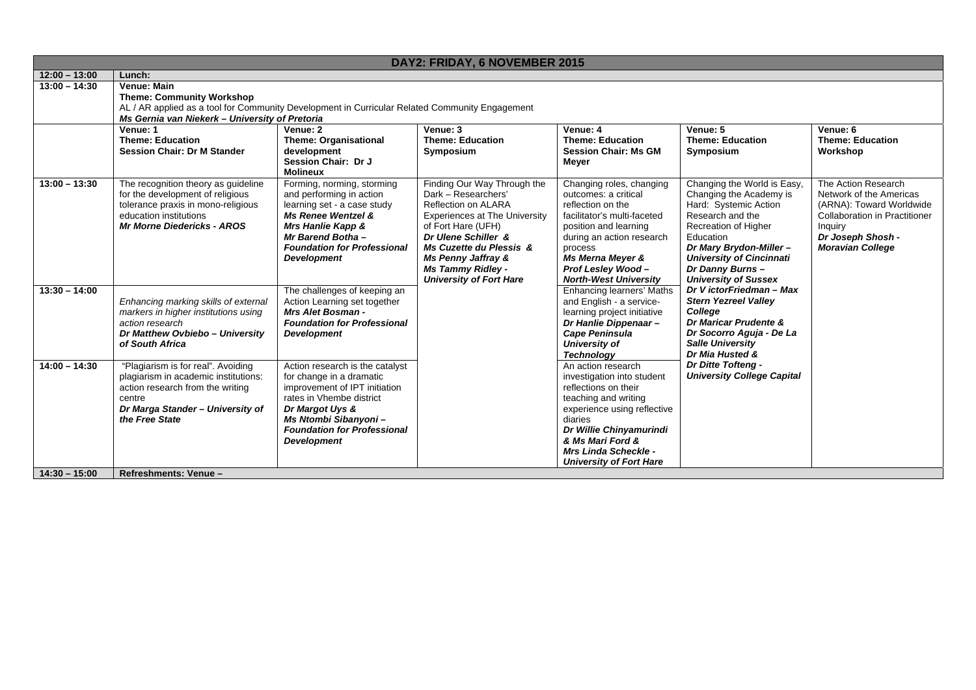|                                    |                                                                                                                                                                                                         | DAY2: FRIDAY, 6 NOVEMBER 2015                                                                                                                                                                                                   |                                                                                                                                                                                                                                                                                          |                                                                                                                                                                                                                                                            |                                                                                                                                                                                                                                                          |                                                                                                                                                                        |  |
|------------------------------------|---------------------------------------------------------------------------------------------------------------------------------------------------------------------------------------------------------|---------------------------------------------------------------------------------------------------------------------------------------------------------------------------------------------------------------------------------|------------------------------------------------------------------------------------------------------------------------------------------------------------------------------------------------------------------------------------------------------------------------------------------|------------------------------------------------------------------------------------------------------------------------------------------------------------------------------------------------------------------------------------------------------------|----------------------------------------------------------------------------------------------------------------------------------------------------------------------------------------------------------------------------------------------------------|------------------------------------------------------------------------------------------------------------------------------------------------------------------------|--|
| $12:00 - 13:00$                    | Lunch:                                                                                                                                                                                                  |                                                                                                                                                                                                                                 |                                                                                                                                                                                                                                                                                          |                                                                                                                                                                                                                                                            |                                                                                                                                                                                                                                                          |                                                                                                                                                                        |  |
| $13:00 - 14:30$                    | Venue: Main<br><b>Theme: Community Workshop</b><br>AL / AR applied as a tool for Community Development in Curricular Related Community Engagement<br>Ms Gernia van Niekerk - University of Pretoria     |                                                                                                                                                                                                                                 |                                                                                                                                                                                                                                                                                          |                                                                                                                                                                                                                                                            |                                                                                                                                                                                                                                                          |                                                                                                                                                                        |  |
|                                    | Venue: 1<br><b>Theme: Education</b><br><b>Session Chair: Dr M Stander</b>                                                                                                                               | Venue: 2<br><b>Theme: Organisational</b><br>development<br>Session Chair: Dr J<br><b>Molineux</b>                                                                                                                               | Venue: 3<br><b>Theme: Education</b><br>Symposium                                                                                                                                                                                                                                         | Venue: 4<br><b>Theme: Education</b><br><b>Session Chair: Ms GM</b><br>Meyer                                                                                                                                                                                | Venue: 5<br><b>Theme: Education</b><br>Symposium                                                                                                                                                                                                         | Venue: 6<br><b>Theme: Education</b><br>Workshop                                                                                                                        |  |
| $13:00 - 13:30$                    | The recognition theory as guideline<br>for the development of religious<br>tolerance praxis in mono-religious<br>education institutions<br><b>Mr Morne Diedericks - AROS</b>                            | Forming, norming, storming<br>and performing in action<br>learning set - a case study<br><b>Ms Renee Wentzel &amp;</b><br>Mrs Hanlie Kapp &<br>Mr Barend Botha-<br><b>Foundation for Professional</b><br><b>Development</b>     | Finding Our Way Through the<br>Dark - Researchers'<br>Reflection on ALARA<br><b>Experiences at The University</b><br>of Fort Hare (UFH)<br>Dr Ulene Schiller &<br><b>Ms Cuzette du Plessis &amp;</b><br>Ms Penny Jaffray &<br><b>Ms Tammy Ridley -</b><br><b>University of Fort Hare</b> | Changing roles, changing<br>outcomes: a critical<br>reflection on the<br>facilitator's multi-faceted<br>position and learning<br>during an action research<br>process<br>Ms Merna Meyer &<br>Prof Lesley Wood-<br><b>North-West University</b>             | Changing the World is Easy,<br>Changing the Academy is<br>Hard: Systemic Action<br>Research and the<br>Recreation of Higher<br>Education<br>Dr Mary Brydon-Miller-<br><b>University of Cincinnati</b><br>Dr Danny Burns -<br><b>University of Sussex</b> | The Action Research<br>Network of the Americas<br>(ARNA): Toward Worldwide<br>Collaboration in Practitioner<br>Inquiry<br>Dr Joseph Shosh -<br><b>Moravian College</b> |  |
| $13:30 - 14:00$                    | Enhancing marking skills of external<br>markers in higher institutions using<br>action research<br>Dr Matthew Ovbiebo - University<br>of South Africa                                                   | The challenges of keeping an<br>Action Learning set together<br>Mrs Alet Bosman -<br><b>Foundation for Professional</b><br><b>Development</b>                                                                                   |                                                                                                                                                                                                                                                                                          | <b>Enhancing learners' Maths</b><br>and English - a service-<br>learning project initiative<br>Dr Hanlie Dippenaar-<br><b>Cape Peninsula</b><br>University of<br><b>Technology</b>                                                                         | Dr V ictorFriedman - Max<br><b>Stern Yezreel Valley</b><br>College<br>Dr Maricar Prudente &<br>Dr Socorro Aguja - De La<br><b>Salle University</b><br>Dr Mia Husted &                                                                                    |                                                                                                                                                                        |  |
| $14:00 - 14:30$<br>$14:30 - 15:00$ | "Plagiarism is for real". Avoiding<br>plagiarism in academic institutions:<br>action research from the writing<br>centre<br>Dr Marga Stander - University of<br>the Free State<br>Refreshments: Venue - | Action research is the catalyst<br>for change in a dramatic<br>improvement of IPT initiation<br>rates in Vhembe district<br>Dr Margot Uys &<br>Ms Ntombi Sibanyoni-<br><b>Foundation for Professional</b><br><b>Development</b> |                                                                                                                                                                                                                                                                                          | An action research<br>investigation into student<br>reflections on their<br>teaching and writing<br>experience using reflective<br>diaries<br>Dr Willie Chinyamurindi<br>& Ms Mari Ford &<br><b>Mrs Linda Scheckle -</b><br><b>University of Fort Hare</b> | <b>Dr Ditte Tofteng -</b><br><b>University College Capital</b>                                                                                                                                                                                           |                                                                                                                                                                        |  |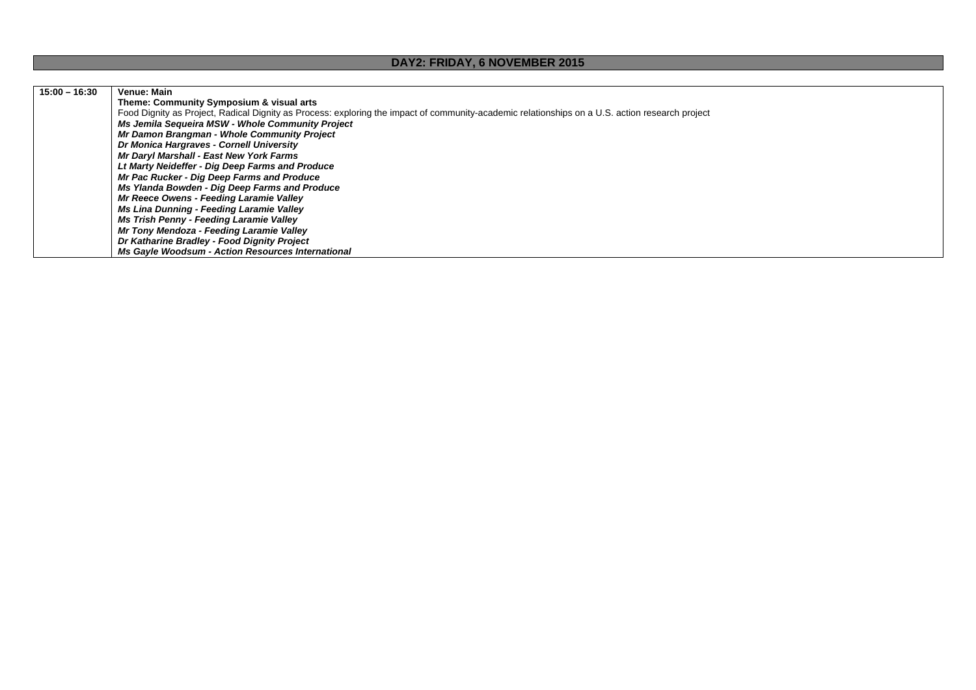## **DAY2: FRIDAY, 6 NOVEMBER 2015**

| $15:00 - 16:30$ | Venue: Main                                                                                                                                     |
|-----------------|-------------------------------------------------------------------------------------------------------------------------------------------------|
|                 | Theme: Community Symposium & visual arts                                                                                                        |
|                 | Food Dignity as Project, Radical Dignity as Process: exploring the impact of community-academic relationships on a U.S. action research project |
|                 | Ms Jemila Sequeira MSW - Whole Community Project                                                                                                |
|                 | Mr Damon Brangman - Whole Community Project                                                                                                     |
|                 | Dr Monica Hargraves - Cornell University                                                                                                        |
|                 | Mr Daryl Marshall - East New York Farms                                                                                                         |
|                 | Lt Marty Neideffer - Dig Deep Farms and Produce                                                                                                 |
|                 | Mr Pac Rucker - Dig Deep Farms and Produce                                                                                                      |
|                 | Ms Ylanda Bowden - Dig Deep Farms and Produce                                                                                                   |
|                 | Mr Reece Owens - Feeding Laramie Valley                                                                                                         |
|                 | Ms Lina Dunning - Feeding Laramie Valley                                                                                                        |
|                 | Ms Trish Penny - Feeding Laramie Valley                                                                                                         |
|                 | Mr Tony Mendoza - Feeding Laramie Valley                                                                                                        |
|                 | Dr Katharine Bradley - Food Dignity Project                                                                                                     |
|                 | <b>Ms Gavle Woodsum - Action Resources International</b>                                                                                        |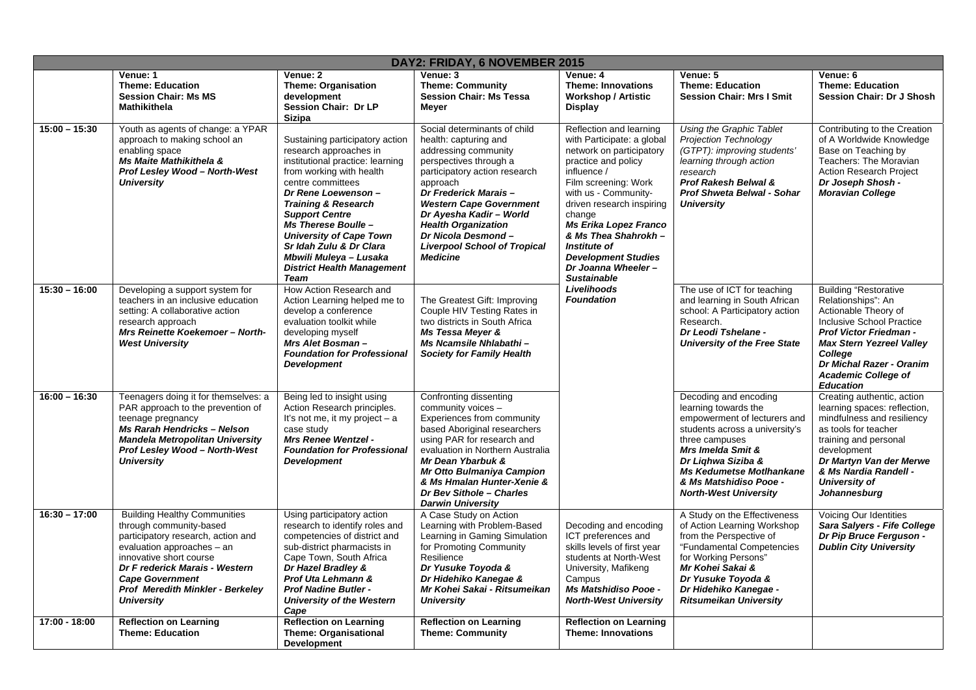|                 | DAY2: FRIDAY, 6 NOVEMBER 2015                                                                                                                                                                                                                                                      |                                                                                                                                                                                                                                                                                                                                                                                                   |                                                                                                                                                                                                                                                                                                                                                         |                                                                                                                                                                                                                                                                                                                                                                  |                                                                                                                                                                                                                                                                           |                                                                                                                                                                                                                                                                      |  |
|-----------------|------------------------------------------------------------------------------------------------------------------------------------------------------------------------------------------------------------------------------------------------------------------------------------|---------------------------------------------------------------------------------------------------------------------------------------------------------------------------------------------------------------------------------------------------------------------------------------------------------------------------------------------------------------------------------------------------|---------------------------------------------------------------------------------------------------------------------------------------------------------------------------------------------------------------------------------------------------------------------------------------------------------------------------------------------------------|------------------------------------------------------------------------------------------------------------------------------------------------------------------------------------------------------------------------------------------------------------------------------------------------------------------------------------------------------------------|---------------------------------------------------------------------------------------------------------------------------------------------------------------------------------------------------------------------------------------------------------------------------|----------------------------------------------------------------------------------------------------------------------------------------------------------------------------------------------------------------------------------------------------------------------|--|
|                 | Venue: 1<br><b>Theme: Education</b><br><b>Session Chair: Ms MS</b><br><b>Mathikithela</b>                                                                                                                                                                                          | Venue: 2<br><b>Theme: Organisation</b><br>development<br>Session Chair: Dr LP<br><b>Sizipa</b>                                                                                                                                                                                                                                                                                                    | Venue: 3<br><b>Theme: Community</b><br><b>Session Chair: Ms Tessa</b><br><b>Meyer</b>                                                                                                                                                                                                                                                                   | Venue: 4<br><b>Theme: Innovations</b><br><b>Workshop / Artistic</b><br><b>Display</b>                                                                                                                                                                                                                                                                            | Venue: 5<br><b>Theme: Education</b><br><b>Session Chair: Mrs I Smit</b>                                                                                                                                                                                                   | Venue: 6<br><b>Theme: Education</b><br><b>Session Chair: Dr J Shosh</b>                                                                                                                                                                                              |  |
| $15:00 - 15:30$ | Youth as agents of change: a YPAR<br>approach to making school an<br>enabling space<br><b>Ms Maite Mathikithela &amp;</b><br>Prof Lesley Wood - North-West<br><b>University</b>                                                                                                    | Sustaining participatory action<br>research approaches in<br>institutional practice: learning<br>from working with health<br>centre committees<br>Dr Rene Loewenson-<br><b>Training &amp; Research</b><br><b>Support Centre</b><br>Ms Therese Boulle -<br><b>University of Cape Town</b><br>Sr Idah Zulu & Dr Clara<br>Mbwili Muleya – Lusaka<br><b>District Health Management</b><br><b>Team</b> | Social determinants of child<br>health: capturing and<br>addressing community<br>perspectives through a<br>participatory action research<br>approach<br>Dr Frederick Marais-<br><b>Western Cape Government</b><br>Dr Ayesha Kadir - World<br><b>Health Organization</b><br>Dr Nicola Desmond-<br><b>Liverpool School of Tropical</b><br><b>Medicine</b> | Reflection and learning<br>with Participate: a global<br>network on participatory<br>practice and policy<br>influence /<br>Film screening: Work<br>with us - Community-<br>driven research inspiring<br>change<br><b>Ms Erika Lopez Franco</b><br>& Ms Thea Shahrokh -<br>Institute of<br><b>Development Studies</b><br>Dr Joanna Wheeler-<br><b>Sustainable</b> | Using the Graphic Tablet<br><b>Projection Technology</b><br>(GTPT): improving students'<br>learning through action<br>research<br><b>Prof Rakesh Belwal &amp;</b><br><b>Prof Shweta Belwal - Sohar</b><br><b>University</b>                                               | Contributing to the Creation<br>of A Worldwide Knowledge<br>Base on Teaching by<br>Teachers: The Moravian<br><b>Action Research Project</b><br>Dr Joseph Shosh -<br><b>Moravian College</b>                                                                          |  |
| $15:30 - 16:00$ | Developing a support system for<br>teachers in an inclusive education<br>setting: A collaborative action<br>research approach<br>Mrs Reinette Koekemoer - North-<br><b>West University</b>                                                                                         | How Action Research and<br>Action Learning helped me to<br>develop a conference<br>evaluation toolkit while<br>developing myself<br>Mrs Alet Bosman-<br><b>Foundation for Professional</b><br><b>Development</b>                                                                                                                                                                                  | The Greatest Gift: Improving<br>Couple HIV Testing Rates in<br>two districts in South Africa<br>Ms Tessa Meyer &<br>Ms Ncamsile Nhlabathi -<br><b>Society for Family Health</b>                                                                                                                                                                         | Livelihoods<br><b>Foundation</b>                                                                                                                                                                                                                                                                                                                                 | The use of ICT for teaching<br>and learning in South African<br>school: A Participatory action<br>Research.<br>Dr Leodi Tshelane -<br><b>University of the Free State</b>                                                                                                 | <b>Building "Restorative</b><br>Relationships": An<br>Actionable Theory of<br><b>Inclusive School Practice</b><br>Prof Victor Friedman -<br><b>Max Stern Yezreel Valley</b><br>College<br>Dr Michal Razer - Oranim<br><b>Academic College of</b><br><b>Education</b> |  |
| $16:00 - 16:30$ | Teenagers doing it for themselves: a<br>PAR approach to the prevention of<br>teenage pregnancy<br><b>Ms Rarah Hendricks - Nelson</b><br><b>Mandela Metropolitan University</b><br>Prof Lesley Wood - North-West<br><b>University</b>                                               | Being led to insight using<br>Action Research principles.<br>It's not me, it my project $- a$<br>case study<br><b>Mrs Renee Wentzel -</b><br><b>Foundation for Professional</b><br><b>Development</b>                                                                                                                                                                                             | Confronting dissenting<br>community voices -<br>Experiences from community<br>based Aboriginal researchers<br>using PAR for research and<br>evaluation in Northern Australia<br>Mr Dean Ybarbuk &<br><b>Mr Otto Bulmaniya Campion</b><br>& Ms Hmalan Hunter-Xenie &<br>Dr Bev Sithole - Charles<br><b>Darwin University</b>                             |                                                                                                                                                                                                                                                                                                                                                                  | Decoding and encoding<br>learning towards the<br>empowerment of lecturers and<br>students across a university's<br>three campuses<br>Mrs Imelda Smit &<br>Dr Lighwa Siziba &<br><b>Ms Kedumetse Motlhankane</b><br>& Ms Matshidiso Pooe -<br><b>North-West University</b> | Creating authentic, action<br>learning spaces: reflection,<br>mindfulness and resiliency<br>as tools for teacher<br>training and personal<br>development<br>Dr Martyn Van der Merwe<br>& Ms Nardia Randell -<br>University of<br>Johannesburg                        |  |
| $16:30 - 17:00$ | <b>Building Healthy Communities</b><br>through community-based<br>participatory research, action and<br>evaluation approaches - an<br>innovative short course<br>Dr F rederick Marais - Western<br><b>Cape Government</b><br>Prof Meredith Minkler - Berkeley<br><b>University</b> | Using participatory action<br>research to identify roles and<br>competencies of district and<br>sub-district pharmacists in<br>Cape Town, South Africa<br>Dr Hazel Bradley &<br>Prof Uta Lehmann &<br><b>Prof Nadine Butler -</b><br>University of the Western<br>Cape                                                                                                                            | A Case Study on Action<br>Learning with Problem-Based<br>Learning in Gaming Simulation<br>for Promoting Community<br>Resilience<br>Dr Yusuke Toyoda &<br>Dr Hidehiko Kanegae &<br>Mr Kohei Sakai - Ritsumeikan<br><b>University</b>                                                                                                                     | Decoding and encoding<br>ICT preferences and<br>skills levels of first year<br>students at North-West<br>University, Mafikeng<br>Campus<br><b>Ms Matshidiso Pooe -</b><br><b>North-West University</b>                                                                                                                                                           | A Study on the Effectiveness<br>of Action Learning Workshop<br>from the Perspective of<br>"Fundamental Competencies<br>for Working Persons"<br>Mr Kohei Sakai &<br>Dr Yusuke Toyoda &<br>Dr Hidehiko Kanegae -<br><b>Ritsumeikan University</b>                           | Voicing Our Identities<br>Sara Salyers - Fife College<br>Dr Pip Bruce Ferguson -<br><b>Dublin City University</b>                                                                                                                                                    |  |
| 17:00 - 18:00   | <b>Reflection on Learning</b><br><b>Theme: Education</b>                                                                                                                                                                                                                           | <b>Reflection on Learning</b><br><b>Theme: Organisational</b><br><b>Development</b>                                                                                                                                                                                                                                                                                                               | <b>Reflection on Learning</b><br><b>Theme: Community</b>                                                                                                                                                                                                                                                                                                | <b>Reflection on Learning</b><br><b>Theme: Innovations</b>                                                                                                                                                                                                                                                                                                       |                                                                                                                                                                                                                                                                           |                                                                                                                                                                                                                                                                      |  |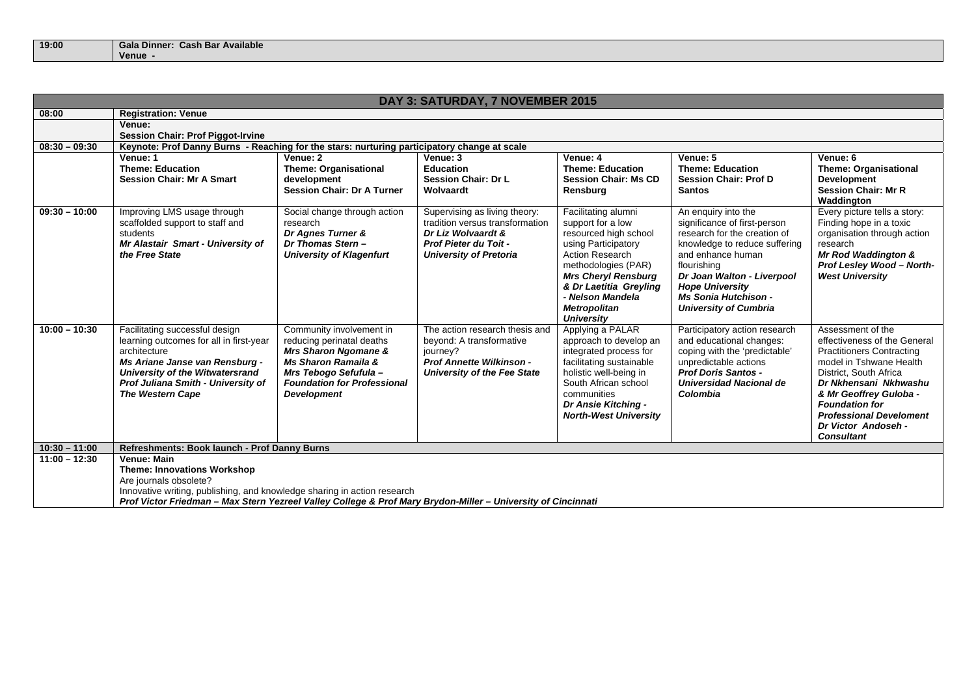| 19:00 |         | Gala Dinner: Cash Bar Available |
|-------|---------|---------------------------------|
|       | Venue - |                                 |

| DAY 3: SATURDAY, 7 NOVEMBER 2015 |                                                                                                                                                                                                                                        |                                                                                                                                                                                                      |                                                                                                                                                  |                                                                                                                                                                                                                                                                   |                                                                                                                                                                                                                                                                                 |                                                                                                                                                                                                                                                                                                      |
|----------------------------------|----------------------------------------------------------------------------------------------------------------------------------------------------------------------------------------------------------------------------------------|------------------------------------------------------------------------------------------------------------------------------------------------------------------------------------------------------|--------------------------------------------------------------------------------------------------------------------------------------------------|-------------------------------------------------------------------------------------------------------------------------------------------------------------------------------------------------------------------------------------------------------------------|---------------------------------------------------------------------------------------------------------------------------------------------------------------------------------------------------------------------------------------------------------------------------------|------------------------------------------------------------------------------------------------------------------------------------------------------------------------------------------------------------------------------------------------------------------------------------------------------|
| 08:00                            | <b>Registration: Venue</b>                                                                                                                                                                                                             |                                                                                                                                                                                                      |                                                                                                                                                  |                                                                                                                                                                                                                                                                   |                                                                                                                                                                                                                                                                                 |                                                                                                                                                                                                                                                                                                      |
|                                  | Venue:                                                                                                                                                                                                                                 |                                                                                                                                                                                                      |                                                                                                                                                  |                                                                                                                                                                                                                                                                   |                                                                                                                                                                                                                                                                                 |                                                                                                                                                                                                                                                                                                      |
|                                  | <b>Session Chair: Prof Piggot-Irvine</b>                                                                                                                                                                                               |                                                                                                                                                                                                      |                                                                                                                                                  |                                                                                                                                                                                                                                                                   |                                                                                                                                                                                                                                                                                 |                                                                                                                                                                                                                                                                                                      |
| $08:30 - 09:30$                  | Keynote: Prof Danny Burns - Reaching for the stars: nurturing participatory change at scale                                                                                                                                            |                                                                                                                                                                                                      |                                                                                                                                                  |                                                                                                                                                                                                                                                                   |                                                                                                                                                                                                                                                                                 |                                                                                                                                                                                                                                                                                                      |
|                                  | Venue: 1<br><b>Theme: Education</b><br><b>Session Chair: Mr A Smart</b>                                                                                                                                                                | Venue: 2<br><b>Theme: Organisational</b><br>development<br><b>Session Chair: Dr A Turner</b>                                                                                                         | Venue: 3<br><b>Education</b><br><b>Session Chair: Dr L</b><br>Wolvaardt                                                                          | Venue: 4<br><b>Theme: Education</b><br><b>Session Chair: Ms CD</b><br>Rensburg                                                                                                                                                                                    | Venue: 5<br><b>Theme: Education</b><br><b>Session Chair: Prof D</b><br><b>Santos</b>                                                                                                                                                                                            | Venue: 6<br><b>Theme: Organisational</b><br><b>Development</b><br><b>Session Chair: Mr R</b><br>Waddington                                                                                                                                                                                           |
| $09:30 - 10:00$                  | Improving LMS usage through<br>scaffolded support to staff and<br>students<br>Mr Alastair Smart - University of<br>the Free State                                                                                                      | Social change through action<br>research<br>Dr Agnes Turner &<br>Dr Thomas Stern-<br><b>University of Klagenfurt</b>                                                                                 | Supervising as living theory:<br>tradition versus transformation<br>Dr Liz Wolvaardt &<br>Prof Pieter du Toit -<br><b>University of Pretoria</b> | Facilitating alumni<br>support for a low<br>resourced high school<br>using Participatory<br><b>Action Research</b><br>methodologies (PAR)<br><b>Mrs Cheryl Rensburg</b><br>& Dr Laetitia Greyling<br>- Nelson Mandela<br><b>Metropolitan</b><br><b>University</b> | An enquiry into the<br>significance of first-person<br>research for the creation of<br>knowledge to reduce suffering<br>and enhance human<br>flourishing<br>Dr Joan Walton - Liverpool<br><b>Hope University</b><br><b>Ms Sonia Hutchison -</b><br><b>University of Cumbria</b> | Every picture tells a story:<br>Finding hope in a toxic<br>organisation through action<br>research<br>Mr Rod Waddington &<br>Prof Lesley Wood - North-<br><b>West University</b>                                                                                                                     |
| $10:00 - 10:30$                  | Facilitating successful design<br>learning outcomes for all in first-year<br>architecture<br>Ms Ariane Janse van Rensburg -<br><b>University of the Witwatersrand</b><br>Prof Juliana Smith - University of<br><b>The Western Cape</b> | Community involvement in<br>reducing perinatal deaths<br>Mrs Sharon Ngomane &<br><b>Ms Sharon Ramaila &amp;</b><br>Mrs Tebogo Sefufula -<br><b>Foundation for Professional</b><br><b>Development</b> | The action research thesis and<br>beyond: A transformative<br>journey?<br><b>Prof Annette Wilkinson -</b><br>University of the Fee State         | Applying a PALAR<br>approach to develop an<br>integrated process for<br>facilitating sustainable<br>holistic well-being in<br>South African school<br>communities<br>Dr Ansie Kitching -<br><b>North-West University</b>                                          | Participatory action research<br>and educational changes:<br>coping with the 'predictable'<br>unpredictable actions<br><b>Prof Doris Santos -</b><br>Universidad Nacional de<br>Colombia                                                                                        | Assessment of the<br>effectiveness of the General<br><b>Practitioners Contracting</b><br>model in Tshwane Health<br>District, South Africa<br>Dr Nkhensani Nkhwashu<br>& Mr Geoffrey Guloba -<br><b>Foundation for</b><br><b>Professional Develoment</b><br>Dr Victor Andoseh -<br><b>Consultant</b> |
| $10:30 - 11:00$                  | Refreshments: Book launch - Prof Danny Burns                                                                                                                                                                                           |                                                                                                                                                                                                      |                                                                                                                                                  |                                                                                                                                                                                                                                                                   |                                                                                                                                                                                                                                                                                 |                                                                                                                                                                                                                                                                                                      |
| $11:00 - 12:30$                  | Venue: Main                                                                                                                                                                                                                            |                                                                                                                                                                                                      |                                                                                                                                                  |                                                                                                                                                                                                                                                                   |                                                                                                                                                                                                                                                                                 |                                                                                                                                                                                                                                                                                                      |
|                                  | <b>Theme: Innovations Workshop</b>                                                                                                                                                                                                     |                                                                                                                                                                                                      |                                                                                                                                                  |                                                                                                                                                                                                                                                                   |                                                                                                                                                                                                                                                                                 |                                                                                                                                                                                                                                                                                                      |
|                                  | Are journals obsolete?                                                                                                                                                                                                                 |                                                                                                                                                                                                      |                                                                                                                                                  |                                                                                                                                                                                                                                                                   |                                                                                                                                                                                                                                                                                 |                                                                                                                                                                                                                                                                                                      |
|                                  | Innovative writing, publishing, and knowledge sharing in action research                                                                                                                                                               |                                                                                                                                                                                                      |                                                                                                                                                  |                                                                                                                                                                                                                                                                   |                                                                                                                                                                                                                                                                                 |                                                                                                                                                                                                                                                                                                      |
|                                  | Prof Victor Friedman - Max Stern Yezreel Valley College & Prof Mary Brydon-Miller - University of Cincinnati                                                                                                                           |                                                                                                                                                                                                      |                                                                                                                                                  |                                                                                                                                                                                                                                                                   |                                                                                                                                                                                                                                                                                 |                                                                                                                                                                                                                                                                                                      |